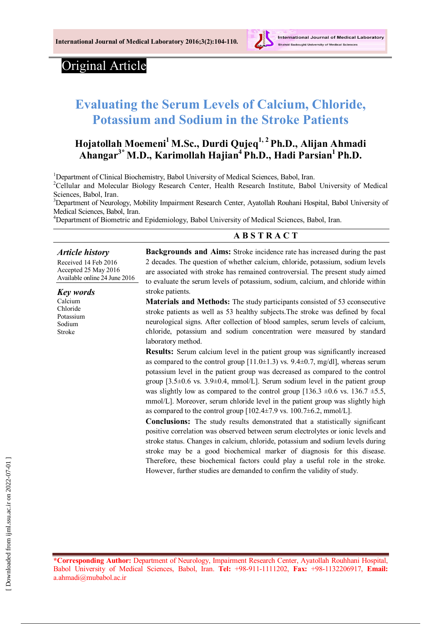

# Original Article

# **Evaluating the Serum Levels of Calcium, Chloride, Potassium and Sodium in the Stroke Patients**

# **Hojatollah Moemeni<sup>1</sup> M.Sc., Durdi Qujeq1, 2 Ph.D., Alijan Ahmadi Ahangar3\* M.D., Karimollah Hajian<sup>4</sup> Ph.D., Hadi Parsian<sup>1</sup> Ph.D.**

<sup>1</sup>Department of Clinical Biochemistry, Babol University of Medical Sciences, Babol, Iran.

<sup>2</sup>Cellular and Molecular Biology Research Center, Health Research Institute, Babol University of Medical Sciences, Babol, Iran.

<sup>3</sup>Department of Neurology, Mobility Impairment Research Center, Ayatollah Rouhani Hospital, Babol University of Medical Sciences, Babol, Iran.

<sup>4</sup>Department of Biometric and Epidemiology, Babol University of Medical Sciences, Babol, Iran.

#### **A B S T R A C T**

*Article history* Received 14 Feb 2016 Accepted 25 May 2016 Available online 24 June 2016

*Key words* Calcium Chloride Potassium Sodium Stroke

**Backgrounds and Aims:** Stroke incidence rate has increased during the past 2 decades. The question of whether calcium, chloride, potassium, sodium levels are associated with stroke has remained controversial. The present study aimed to evaluate the serum levels of potassium, sodium, calcium, and chloride within stroke patients.

**Materials and Methods:** The study participants consisted of 53 cconsecutive stroke patients as well as 53 healthy subjects.The stroke was defined by focal neurological signs. After collection of blood samples, serum levels of calcium, chloride, potassium and sodium concentration were measured by standard laboratory method.

**Results:** Serum calcium level in the patient group was significantly increased as compared to the control group  $[11.0\pm1.3)$  vs.  $9.4\pm0.7$ , mg/dl], whereas serum potassium level in the patient group was decreased as compared to the control group  $[3.5\pm0.6 \text{ vs. } 3.9\pm0.4, \text{ mmol/L}]$ . Serum sodium level in the patient group was slightly low as compared to the control group  $[136.3 \pm 0.6 \text{ vs. } 136.7 \pm 5.5]$ mmol/L]. Moreover, serum chloride level in the patient group was slightly high as compared to the control group  $[102.4\pm7.9 \text{ vs. } 100.7\pm6.2, \text{mmol/L}]$ .

**Conclusions:** The study results demonstrated that a statistically significant positive correlation was observed between serum electrolytes or ionic levels and stroke status. Changes in calcium, chloride, potassium and sodium levels during stroke may be a good biochemical marker of diagnosis for this disease. Therefore, these biochemical factors could play a useful role in the stroke. However, further studies are demanded to confirm the validity of study.

**\*Corresponding Author:** Department of Neurology, Impairment Research Center, Ayatollah Rouhhani Hospital, Babol University of Medical Sciences, Babol, Iran. **Tel:** +98-911-1111202, **Fax:** +98-1132206917, **Email:** a.ahmadi@mubabol.ac.ir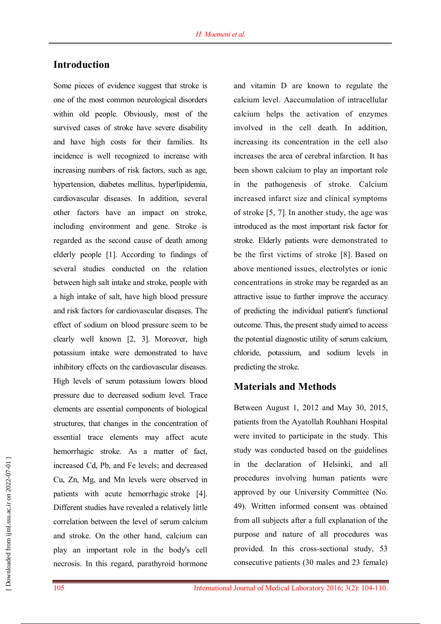# **Introduction**

Some pieces of evidence suggest that stroke is one of the most common neurological disorders within old people. Obviously, most of the survived cases of stroke have severe disability and have high costs for their families. Its incidence is well recognized to increase with increasing numbers of risk factors, such as age, hypertension, diabetes mellitus, hyperlipidemia, cardiovascular diseases. In addition, several other factors have an impact on stroke, including environment and gene. Stroke is regarded as the second cause of death among elderly people [1]. According to findings of several studies conducted on the relation between high salt intake and stroke, people with a high intake of salt, have high blood pressure and risk factors for cardiovascular diseases. The effect of sodium on blood pressure seem to be clearly well known [2, 3]. Moreover, high potassium intake were demonstrated to have inhibitory effects on the cardiovascular diseases. High levels of serum potassium lowers blood pressure due to decreased sodium level. Trace elements are essential components of biological structures, that changes in the concentration of essential trace elements may affect acute hemorrhagic stroke. As a matter of fact, increased Cd, Pb, and Fe levels; and decreased Cu, Zn, Mg, and Mn levels were observed in patients with acute hemorrhagic stroke [4]. Different studies have revealed a relatively little correlation between the level of serum calcium and stroke. On the other hand, calcium can play an important role in the body's cell necrosis. In this regard, parathyroid hormone and vitamin D are known to regulate the calcium level. Aaccumulation of intracellular calcium helps the activation of enzymes involved in the cell death. In addition, increasing its concentration in the cell also increases the area of cerebral infarction. It has been shown calcium to play an important role in the pathogenesis of stroke. Calcium increased infarct size and clinical symptoms of stroke [5, 7]. In another study, the age was introduced as the most important risk factor for stroke. Elderly patients were demonstrated to be the first victims of stroke [8]. Based on above mentioned issues, electrolytes or ionic concentrations in stroke may be regarded as an attractive issue to further improve the accuracy of predicting the individual patient's functional outcome. Thus, the present study aimed to access the potential diagnostic utility of serum calcium, chloride, potassium, and sodium levels in predicting the stroke.

#### **Materials and Methods**

Between August 1, 2012 and May 30, 2015, patients from the Ayatollah Rouhhani Hospital were invited to participate in the study. This study was conducted based on the guidelines in the declaration of Helsinki, and all procedures involving human patients were approved by our University Committee (No. 49). Written informed consent was obtained from all subjects after a full explanation of the purpose and nature of all procedures was provided. In this cross-sectional study, 53 consecutive patients (30 males and 23 female)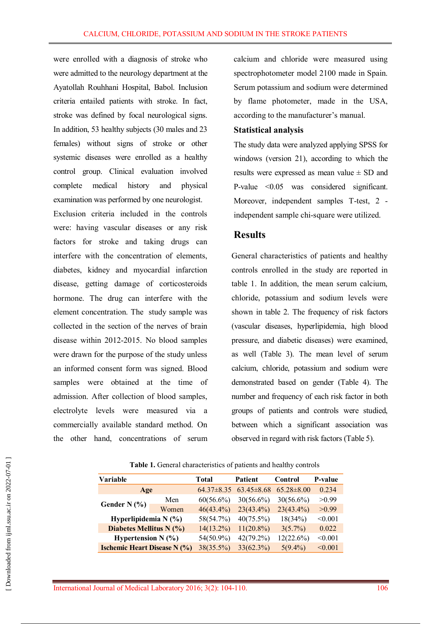were enrolled with a diagnosis of stroke who were admitted to the neurology department at the Ayatollah Rouhhani Hospital, Babol. Inclusion criteria entailed patients with stroke. In fact, stroke was defined by focal neurological signs. In addition, 53 healthy subjects (30 males and 23 females) without signs of stroke or other systemic diseases were enrolled as a healthy control group. Clinical evaluation involved complete medical history and physical examination was performed by one neurologist. Exclusion criteria included in the controls were: having vascular diseases or any risk factors for stroke and taking drugs can interfere with the concentration of elements, diabetes, kidney and myocardial infarction disease, getting damage of corticosteroids hormone. The drug can interfere with the element concentration. The study sample was collected in the section of the nerves of brain disease within 2012-2015. No blood samples were drawn for the purpose of the study unless an informed consent form was signed. Blood samples were obtained at the time of admission. After collection of blood samples, electrolyte levels were measured via a commercially available standard method. On the other hand, concentrations of serum calcium and chloride were measured using spectrophotometer model 2100 made in Spain. Serum potassium and sodium were determined by flame photometer, made in the USA, according to the manufacturer's manual.

#### **Statistical analysis**

The study data were analyzed applying SPSS for windows (version 21), according to which the results were expressed as mean value  $\pm$  SD and P-value <0.05 was considered significant. Moreover, independent samples T-test, 2 independent sample chi-square were utilized.

## **Results**

General characteristics of patients and healthy controls enrolled in the study are reported in table 1. In addition, the mean serum calcium, chloride, potassium and sodium levels were shown in table 2. The frequency of risk factors (vascular diseases, hyperlipidemia, high blood pressure, and diabetic diseases) were examined, as well (Table 3). The mean level of serum calcium, chloride, potassium and sodium were demonstrated based on gender (Table 4). The number and frequency of each risk factor in both groups of patients and controls were studied, between which a significant association was observed in regard with risk factors (Table 5).

| Variable                            |       | Total          | <b>Patient</b>   | Control          | P-value |
|-------------------------------------|-------|----------------|------------------|------------------|---------|
| Age                                 |       | $64.37\pm8.35$ | $63.45 \pm 8.68$ | $65.28 \pm 8.00$ | 0.234   |
| Gender N $(\% )$                    | Men   | $60(56.6\%)$   | $30(56.6\%)$     | $30(56.6\%)$     | >0.99   |
|                                     | Women | $46(43.4\%)$   | $23(43.4\%)$     | $23(43.4\%)$     | >0.99   |
| Hyperlipidemia $N$ (%)              |       | 58(54.7%)      | $40(75.5\%)$     | 18(34%)          | < 0.001 |
| Diabetes Mellitus N (%)             |       | $14(13.2\%)$   | $11(20.8\%)$     | $3(5.7\%)$       | 0.022   |
| Hypertension $N$ (%)                |       | 54(50.9%)      | $42(79.2\%)$     | 12(22.6%)        | < 0.001 |
| <b>Ischemic Heart Disease N (%)</b> |       | 38(35.5%)      | 33(62.3%)        | $5(9.4\%)$       | < 0.001 |

**Table 1.** General characteristics of patients and healthy controls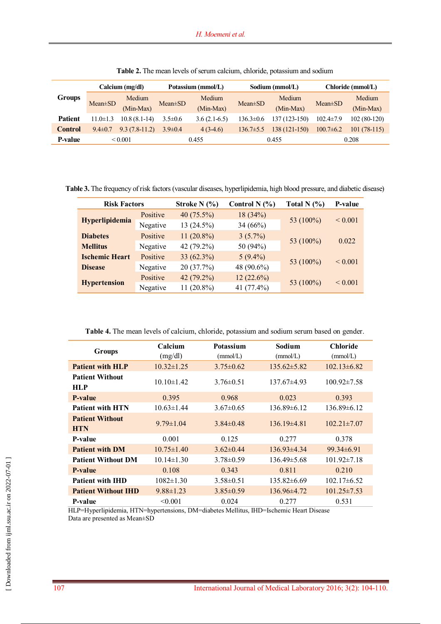|                | Calcium (mg/dl) |                     | Potassium (mmol/L) |                     | Sodium (mmol/L) |                     | Chloride (mmol/L) |                     |
|----------------|-----------------|---------------------|--------------------|---------------------|-----------------|---------------------|-------------------|---------------------|
| <b>Groups</b>  | $Mean \pm SD$   | Medium<br>(Min-Max) | $Mean \pm SD$      | Medium<br>(Min-Max) | $Mean \pm SD$   | Medium<br>(Min-Max) | $Mean \pm SD$     | Medium<br>(Min-Max) |
| <b>Patient</b> | $11.0 \pm 1.3$  | $10.8(8.1-14)$      | $3.5 \pm 0.6$      | $3.6(2.1-6.5)$      | $136.3 \pm 0.6$ | 137 (123-150)       | $102.4 \pm 7.9$   | $102(80-120)$       |
| <b>Control</b> | $9.4 \pm 0.7$   | $9.3(7.8-11.2)$     | $3.9 \pm 0.4$      | $4(3-4.6)$          | $136.7 \pm 5.5$ | 138 (121-150)       | $100.7\pm 6.2$    | $101(78-115)$       |
| <b>P-value</b> | ${}_{0.001}$    |                     | 0.455              |                     | 0.455           |                     | 0.208             |                     |

**Table 2.** The mean levels of serum calcium, chloride, potassium and sodium

**Table 3.** The frequency of risk factors (vascular diseases, hyperlipidemia, high blood pressure, and diabetic disease)

| <b>Risk Factors</b>   |          | Control N $(%)$<br>Stroke N $(\% )$ |            | Total N $(%)$ | P-value      |
|-----------------------|----------|-------------------------------------|------------|---------------|--------------|
| Hyperlipidemia        | Positive | 40 $(75.5\%)$                       | 18(34%)    |               | ${}_{0.001}$ |
|                       | Negative | 13(24.5%)                           | 34 (66%)   | 53 (100%)     |              |
| <b>Diabetes</b>       | Positive | $11(20.8\%)$                        | $3(5.7\%)$ |               |              |
| <b>Mellitus</b>       | Negative | 42 (79.2%)                          | 50 (94%)   | 53 (100%)     | 0.022        |
| <b>Ischemic Heart</b> | Positive | 33 $(62.3\%)$                       | $5(9.4\%)$ |               |              |
| <b>Disease</b>        | Negative | 20(37.7%)                           | 48 (90.6%) | 53 (100%)     | ${}_{0.001}$ |
| <b>Hypertension</b>   | Positive | 42 (79.2%)                          | 12(22.6%)  | 53 (100%)     | ${}_{0.001}$ |
|                       | Negative | $11(20.8\%)$                        | 41 (77.4%) |               |              |

|  | Table 4. The mean levels of calcium, chloride, potassium and sodium serum based on gender. |
|--|--------------------------------------------------------------------------------------------|
|--|--------------------------------------------------------------------------------------------|

| <b>Groups</b>                        | Calcium<br>(mg/dl) | <b>Potassium</b><br>(mmol/L) | Sodium<br>(mmol/L) | <b>Chloride</b><br>(mmol/L) |
|--------------------------------------|--------------------|------------------------------|--------------------|-----------------------------|
| <b>Patient with HLP</b>              | $10.32 \pm 1.25$   | $3.75 \pm 0.62$              | $135.62 \pm 5.82$  | $102.13\pm 6.82$            |
| <b>Patient Without</b><br>HLP        | $10.10 \pm 1.42$   | $3.76\pm0.51$                | $137.67\pm4.93$    | $100.92 \pm 7.58$           |
| P-value                              | 0.395              | 0.968                        | 0.023              | 0.393                       |
| <b>Patient with HTN</b>              | $10.63 \pm 1.44$   | $3.67 \pm 0.65$              | $136.89\pm 6.12$   | $136.89\pm 6.12$            |
| <b>Patient Without</b><br><b>HTN</b> | $9.79 \pm 1.04$    | $3.84\pm0.48$                | $136.19\pm4.81$    | $102.21 \pm 7.07$           |
| P-value                              | 0.001              | 0.125                        | 0.277              | 0.378                       |
| <b>Patient with DM</b>               | $10.75 \pm 1.40$   | $3.62\pm0.44$                | $136.93\pm4.34$    | $99.34\pm 6.91$             |
| <b>Patient Without DM</b>            | $10.14\pm1.30$     | $3.78 \pm 0.59$              | $136.49 \pm 5.68$  | $101.92 \pm 7.18$           |
| P-value                              | 0.108              | 0.343                        | 0.811              | 0.210                       |
| <b>Patient with IHD</b>              | $1082 \pm 1.30$    | $3.58 \pm 0.51$              | $135.82\pm 6.69$   | $102.17\pm 6.52$            |
| <b>Patient Without IHD</b>           | $9.88 \pm 1.23$    | $3.85 \pm 0.59$              | $136.96\pm4.72$    | $101.25 \pm 7.53$           |
| P-value                              | < 0.001            | 0.024                        | 0.277              | 0.531                       |

HLP=Hyperlipidemia, HTN=hypertensions, DM=diabetes Mellitus, IHD=Ischemic Heart Disease Data are presented as Mean±SD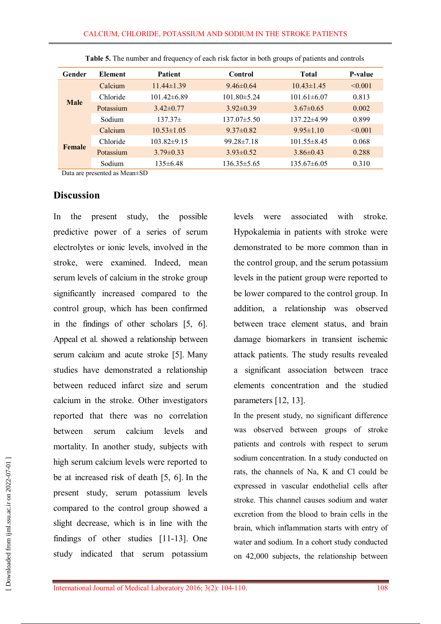| Gender      | <b>Element</b> | <b>Patient</b>    | Control           | Total             | <b>P-value</b> |
|-------------|----------------|-------------------|-------------------|-------------------|----------------|
|             | Calcium        | $11.44 \pm 1.39$  | $9.46\pm0.64$     | $10.43 \pm 1.45$  | $\leq 0.001$   |
|             | Chloride       | $101.42 \pm 6.89$ | $101.80 \pm 5.24$ | $101.61 \pm 6.07$ | 0.813          |
| <b>Male</b> | Potassium      | $3.42 \pm 0.77$   | $3.92 \pm 0.39$   | $3.67 \pm 0.65$   | 0.002          |
|             | Sodium         | $137.37\pm$       | $137.07\pm5.50$   | $137.22 \pm 4.99$ | 0.899          |
|             | Calcium        | $10.53 \pm 1.05$  | $9.37 \pm 0.82$   | $9.95 \pm 1.10$   | < 0.001        |
| Female      | Chloride       | $103.82 \pm 9.15$ | $99.28 \pm 7.18$  | $101.55 \pm 8.45$ | 0.068          |
|             | Potassium      | $3.79 \pm 0.33$   | $3.93 \pm 0.52$   | $3.86\pm0.43$     | 0.288          |
|             | Sodium         | $135 \pm 6.48$    | $136.35 \pm 5.65$ | $135.67\pm 6.05$  | 0.310          |

**Table 5.** The number and frequency of each risk factor in both groups of patients and controls

Data are presented as Mean±SD

### **Discussion**

In the present study, the possible predictive power of a series of serum electrolytes or ionic levels, involved in the stroke, were examined. Indeed, mean serum levels of calcium in the stroke group significantly increased compared to the control group, which has been confirmed in the findings of other scholars [5, 6]. Appeal et al. showed a relationship between serum calcium and acute stroke [5]. Many studies have demonstrated a relationship between reduced infarct size and serum calcium in the stroke. Other investigators reported that there was no correlation between serum calcium levels and mortality. In another study, subjects with high serum calcium levels were reported to be at increased risk of death [5, 6]. In the present study, serum potassium levels compared to the control group showed a slight decrease, which is in line with the findings of other studies [11-13]. One study indicated that serum potassium levels were associated with stroke. Hypokalemia in patients with stroke were demonstrated to be more common than in the control group, and the serum potassium levels in the patient group were reported to be lower compared to the control group. In addition, a relationship was observed between trace element status, and brain damage biomarkers in transient ischemic attack patients. The study results revealed a significant association between trace elements concentration and the studied parameters [12, 13].

In the present study, no significant difference was observed between groups of stroke patients and controls with respect to serum sodium concentration. In a study conducted on rats, the channels of Na, K and Cl could be expressed in vascular endothelial cells after stroke. This channel causes sodium and water excretion from the blood to brain cells in the brain, which inflammation starts with entry of water and sodium. In a cohort study conducted on 42,000 subjects, the relationship between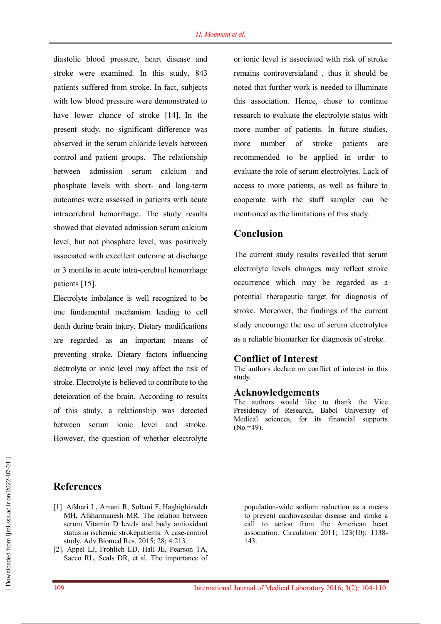diastolic blood pressure, heart disease and stroke were examined. In this study, 843 patients suffered from stroke. In fact, subjects with low blood pressure were demonstrated to have lower chance of stroke [14]. In the present study, no significant difference was observed in the serum chloride levels between control and patient groups. The relationship between admission serum calcium and phosphate levels with short- and long-term outcomes were assessed in patients with acute intracerebral hemorrhage. The study results showed that elevated admission serum calcium level, but not phosphate level, was positively associated with excellent outcome at discharge or 3 months in acute intra-cerebral hemorrhage patients [15].

Electrolyte imbalance is well recognized to be one fundamental mechanism leading to cell death during brain injury. Dietary modifications are regarded as an important means of preventing stroke. Dietary factors influencing electrolyte or ionic level may affect the risk of stroke. Electrolyte is believed to contribute to the deteioration of the brain. According to results of this study, a relationship was detected between serum ionic level and stroke. However, the question of whether electrolyte

or ionic level is associated with risk of stroke remains controversialand , thus it should be noted that further work is needed to illuminate this association. Hence, chose to continue research to evaluate the electrolyte status with more number of patients. In future studies, more number of stroke patients are recommended to be applied in order to evaluate the role of serum electrolytes. Lack of access to more patients, as well as failure to cooperate with the staff sampler can be mentioned as the limitations of this study.

# **Conclusion**

The current study results revealed that serum electrolyte levels changes may reflect stroke occurrence which may be regarded as a potential therapeutic target for diagnosis of stroke. Moreover, the findings of the current study encourage the use of serum electrolytes as a reliable biomarker for diagnosis of stroke.

#### **Conflict of Interest**

The authors declare no conflict of interest in this study.

#### **Acknowledgements**

The authors would like to thank the Vice Presidency of Research, Babol University of Medical sciences, for its financial supports  $(No. = 49)$ .

## **References**

- [1]. Afshari L, Amani R, Soltani F, Haghighizadeh MH, Afsharmanesh MR. The relation between serum Vitamin D levels and body antioxidant status in ischemic strokepatients: A case-control study. Adv Biomed Res. 2015; 28; 4:213.
- [2]. Appel LJ, Frohlich ED, Hall JE, Pearson TA, Sacco RL, Seals DR, et al. The importance of

population-wide sodium reduction as a means to prevent cardiovascular disease and stroke a call to action from the American heart association. Circulation 2011; 123(10): 1138- 143.